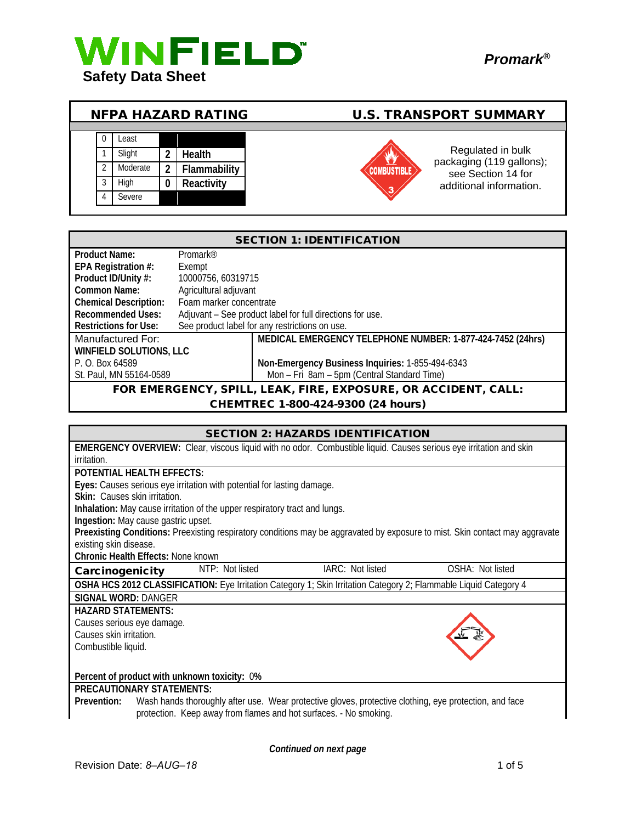

| <b>NFPA HAZARD RATING</b> |  |          |   |               | <b>U.S. TRANSPORT SUMMARY</b> |                                               |
|---------------------------|--|----------|---|---------------|-------------------------------|-----------------------------------------------|
|                           |  |          |   |               |                               |                                               |
|                           |  | _east    |   |               |                               |                                               |
|                           |  | Slight   | າ | <b>Health</b> |                               | Regulated in bulk<br>packaging (119 gallons); |
|                           |  | Moderate | າ | Flammability  |                               | see Section 14 for                            |
|                           |  | Hiah     | 0 | Reactivity    | 3                             | additional information.                       |
|                           |  | Severe   |   |               |                               |                                               |

| <b>SECTION 1: IDENTIFICATION</b>                               |                         |                                                            |  |
|----------------------------------------------------------------|-------------------------|------------------------------------------------------------|--|
| Product Name:                                                  | Promark <sup>®</sup>    |                                                            |  |
| EPA Registration #:                                            | Exempt                  |                                                            |  |
| Product ID/Unity #:                                            | 10000756, 60319715      |                                                            |  |
| Common Name:                                                   | Agricultural adjuvant   |                                                            |  |
| <b>Chemical Description:</b>                                   | Foam marker concentrate |                                                            |  |
| <b>Recommended Uses:</b>                                       |                         | Adjuvant - See product label for full directions for use.  |  |
| <b>Restrictions for Use:</b>                                   |                         | See product label for any restrictions on use.             |  |
| Manufactured For:                                              |                         | MEDICAL EMERGENCY TELEPHONE NUMBER: 1-877-424-7452 (24hrs) |  |
| <b>WINFIELD SOLUTIONS, LLC</b>                                 |                         |                                                            |  |
| P. O. Box 64589                                                |                         | Non-Emergency Business Inquiries: 1-855-494-6343           |  |
| St. Paul, MN 55164-0589                                        |                         | Mon - Fri 8am - 5pm (Central Standard Time)                |  |
| FOR EMERGENCY, SPILL, LEAK, FIRE, EXPOSURE, OR ACCIDENT, CALL: |                         |                                                            |  |
| CHEMTREC 1-800-424-9300 (24 hours)                             |                         |                                                            |  |

| <b>SECTION 2: HAZARDS IDENTIFICATION</b>                                                                                     |  |  |  |  |
|------------------------------------------------------------------------------------------------------------------------------|--|--|--|--|
| <b>EMERGENCY OVERVIEW:</b> Clear, viscous liquid with no odor. Combustible liquid. Causes serious eye irritation and skin    |  |  |  |  |
| irritation.                                                                                                                  |  |  |  |  |
| POTENTIAL HEALTH EFFECTS:                                                                                                    |  |  |  |  |
| Eyes: Causes serious eye irritation with potential for lasting damage.                                                       |  |  |  |  |
| Skin: Causes skin irritation.                                                                                                |  |  |  |  |
| Inhalation: May cause irritation of the upper respiratory tract and lungs.                                                   |  |  |  |  |
| Ingestion: May cause gastric upset.                                                                                          |  |  |  |  |
| Preexisting Conditions: Preexisting respiratory conditions may be aggravated by exposure to mist. Skin contact may aggravate |  |  |  |  |
| existing skin disease.                                                                                                       |  |  |  |  |
| Chronic Health Effects: None known                                                                                           |  |  |  |  |
| NTP: Not listed<br>IARC: Not listed<br>OSHA: Not listed<br>Carcinogenicity                                                   |  |  |  |  |
| OSHA HCS 2012 CLASSIFICATION: Eye Irritation Category 1; Skin Irritation Category 2; Flammable Liquid Category 4             |  |  |  |  |
| <b>SIGNAL WORD: DANGER</b>                                                                                                   |  |  |  |  |
| <b>HAZARD STATEMENTS:</b>                                                                                                    |  |  |  |  |
| Causes serious eye damage.                                                                                                   |  |  |  |  |
| Causes skin irritation.                                                                                                      |  |  |  |  |
| Combustible liquid.                                                                                                          |  |  |  |  |
|                                                                                                                              |  |  |  |  |
| Percent of product with unknown toxicity: 0%                                                                                 |  |  |  |  |
| <b>PRECAUTIONARY STATEMENTS:</b>                                                                                             |  |  |  |  |
| Wash hands thoroughly after use. Wear protective gloves, protective clothing, eye protection, and face<br>Prevention:        |  |  |  |  |
| protection. Keep away from flames and hot surfaces. - No smoking.                                                            |  |  |  |  |
|                                                                                                                              |  |  |  |  |

*Continued on next page*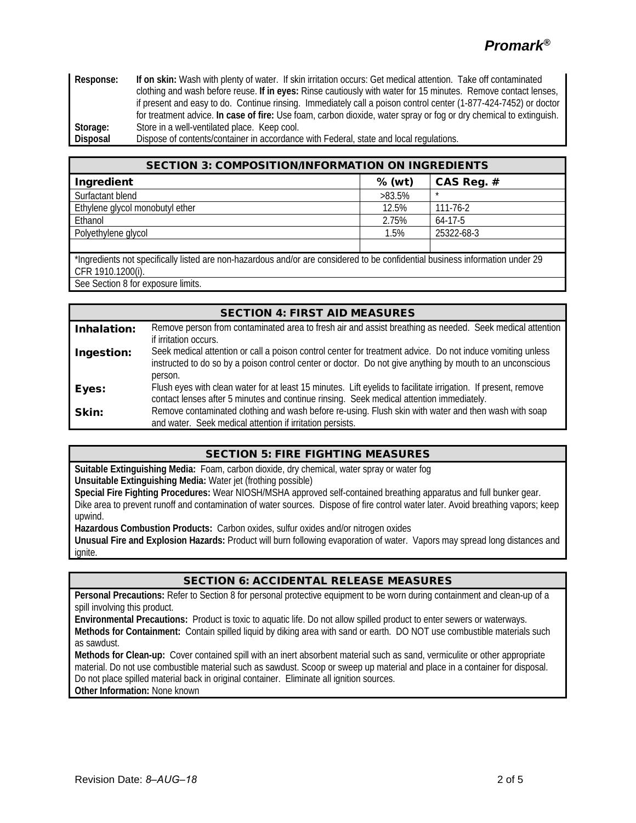**Response: If on skin:** Wash with plenty of water. If skin irritation occurs: Get medical attention. Take off contaminated clothing and wash before reuse. **If in eyes:** Rinse cautiously with water for 15 minutes. Remove contact lenses, if present and easy to do. Continue rinsing. Immediately call a poison control center (1-877-424-7452) or doctor for treatment advice. **In case of fire:** Use foam, carbon dioxide, water spray or fog or dry chemical to extinguish. Storage: Store in a well-ventilated place. Keep cool.<br> **Disposal** Dispose of contents/container in accordance

Dispose of contents/container in accordance with Federal, state and local regulations.

| <b>SECTION 3: COMPOSITION/INFORMATION ON INGREDIENTS</b>                                                                                           |           |                |  |
|----------------------------------------------------------------------------------------------------------------------------------------------------|-----------|----------------|--|
| Ingredient                                                                                                                                         | $%$ (wt)  | CAS Reg. #     |  |
| Surfactant blend                                                                                                                                   | $>83.5\%$ | $\star$        |  |
| Ethylene glycol monobutyl ether                                                                                                                    | 12.5%     | $111 - 76 - 2$ |  |
| Ethanol                                                                                                                                            | 2.75%     | $64-17-5$      |  |
| Polyethylene glycol                                                                                                                                | 1.5%      | 25322-68-3     |  |
|                                                                                                                                                    |           |                |  |
| *Ingredients not specifically listed are non-hazardous and/or are considered to be confidential business information under 29<br>CFR 1910.1200(i). |           |                |  |

See Section 8 for exposure limits.

| <b>SECTION 4: FIRST AID MEASURES</b> |                                                                                                                                                                                                                                    |  |  |  |
|--------------------------------------|------------------------------------------------------------------------------------------------------------------------------------------------------------------------------------------------------------------------------------|--|--|--|
| Inhalation:                          | Remove person from contaminated area to fresh air and assist breathing as needed. Seek medical attention<br>if irritation occurs.                                                                                                  |  |  |  |
| Ingestion:                           | Seek medical attention or call a poison control center for treatment advice. Do not induce vomiting unless<br>instructed to do so by a poison control center or doctor. Do not give anything by mouth to an unconscious<br>person. |  |  |  |
| Eyes:                                | Flush eyes with clean water for at least 15 minutes. Lift eyelids to facilitate irrigation. If present, remove<br>contact lenses after 5 minutes and continue rinsing. Seek medical attention immediately.                         |  |  |  |
| Skin:                                | Remove contaminated clothing and wash before re-using. Flush skin with water and then wash with soap<br>and water. Seek medical attention if irritation persists.                                                                  |  |  |  |

### SECTION 5: FIRE FIGHTING MEASURES

**Suitable Extinguishing Media:** Foam, carbon dioxide, dry chemical, water spray or water fog **Unsuitable Extinguishing Media:** Water jet (frothing possible)

**Special Fire Fighting Procedures:** Wear NIOSH/MSHA approved self-contained breathing apparatus and full bunker gear. Dike area to prevent runoff and contamination of water sources. Dispose of fire control water later. Avoid breathing vapors; keep upwind.

**Hazardous Combustion Products:** Carbon oxides, sulfur oxides and/or nitrogen oxides

**Unusual Fire and Explosion Hazards:** Product will burn following evaporation of water. Vapors may spread long distances and ignite.

### SECTION 6: ACCIDENTAL RELEASE MEASURES

**Personal Precautions:** Refer to Section 8 for personal protective equipment to be worn during containment and clean-up of a spill involving this product.

**Environmental Precautions:** Product is toxic to aquatic life. Do not allow spilled product to enter sewers or waterways. **Methods for Containment:** Contain spilled liquid by diking area with sand or earth. DO NOT use combustible materials such as sawdust.

**Methods for Clean-up:** Cover contained spill with an inert absorbent material such as sand, vermiculite or other appropriate material. Do not use combustible material such as sawdust. Scoop or sweep up material and place in a container for disposal. Do not place spilled material back in original container. Eliminate all ignition sources.

**Other Information:** None known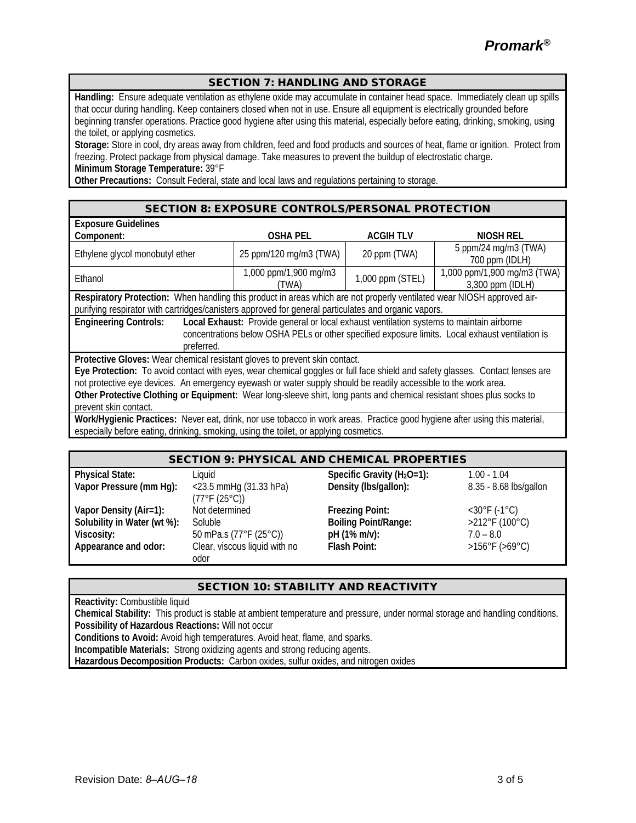*Promark®*

#### SECTION 7: HANDLING AND STORAGE

**Handling:** Ensure adequate ventilation as ethylene oxide may accumulate in container head space. Immediately clean up spills that occur during handling. Keep containers closed when not in use. Ensure all equipment is electrically grounded before beginning transfer operations. Practice good hygiene after using this material, especially before eating, drinking, smoking, using the toilet, or applying cosmetics.

**Storage:** Store in cool, dry areas away from children, feed and food products and sources of heat, flame or ignition. Protect from freezing. Protect package from physical damage. Take measures to prevent the buildup of electrostatic charge. **Minimum Storage Temperature:** 39°F

**Other Precautions:** Consult Federal, state and local laws and regulations pertaining to storage.

#### SECTION 8: EXPOSURE CONTROLS/PERSONAL PROTECTION

| <b>Exposure Guidelines</b>                                                                                                   |                        |                  |                             |  |
|------------------------------------------------------------------------------------------------------------------------------|------------------------|------------------|-----------------------------|--|
| Component:                                                                                                                   | <b>OSHA PEL</b>        | <b>ACGIHTLV</b>  | <b>NIOSH REL</b>            |  |
| Ethylene glycol monobutyl ether                                                                                              | 25 ppm/120 mg/m3 (TWA) | 20 ppm (TWA)     | 5 ppm/24 mg/m3 (TWA)        |  |
|                                                                                                                              |                        |                  | 700 ppm (IDLH)              |  |
| Ethanol                                                                                                                      | 1,000 ppm/1,900 mg/m3  | 1,000 ppm (STEL) | 1,000 ppm/1,900 mg/m3 (TWA) |  |
|                                                                                                                              | (TWA)                  |                  | 3,300 ppm (IDLH)            |  |
| Respiratory Protection: When handling this product in areas which are not properly ventilated wear NIOSH approved air-       |                        |                  |                             |  |
| purifying respirator with cartridges/canisters approved for general particulates and organic vapors.                         |                        |                  |                             |  |
| <b>Engineering Controls:</b><br>Local Exhaust: Provide general or local exhaust ventilation systems to maintain airborne     |                        |                  |                             |  |
| concentrations below OSHA PELs or other specified exposure limits. Local exhaust ventilation is                              |                        |                  |                             |  |
| preferred.                                                                                                                   |                        |                  |                             |  |
| Protective Gloves: Wear chemical resistant gloves to prevent skin contact.                                                   |                        |                  |                             |  |
| Eye Protection: To avoid contact with eyes, wear chemical goggles or full face shield and safety glasses. Contact lenses are |                        |                  |                             |  |
| not protective eye devices. An emergency eyewash or water supply should be readily accessible to the work area.              |                        |                  |                             |  |
| Other Protective Clothing or Equipment: Wear long-sleeve shirt, long pants and chemical resistant shoes plus socks to        |                        |                  |                             |  |
| prevent skin contact.                                                                                                        |                        |                  |                             |  |
| Work/Hygienic Practices: Never eat, drink, nor use tobacco in work areas. Practice good hygiene after using this material,   |                        |                  |                             |  |

especially before eating, drinking, smoking, using the toilet, or applying cosmetics.

### SECTION 9: PHYSICAL AND CHEMICAL PROPERTIES

| <b>Physical State:</b>      | Liauid                        | Specific Gravity ( $H_2O=1$ ): | $1.00 - 1.04$                       |
|-----------------------------|-------------------------------|--------------------------------|-------------------------------------|
| Vapor Pressure (mm Hg):     | <23.5 mmHg (31.33 hPa)        | Density (Ibs/gallon):          | 8.35 - 8.68 lbs/gallon              |
|                             | (77°F (25°C))                 |                                |                                     |
| Vapor Density (Air=1):      | Not determined                | <b>Freezing Point:</b>         | $<$ 30 $\degree$ F (-1 $\degree$ C) |
| Solubility in Water (wt %): | Soluble                       | <b>Boiling Point/Range:</b>    | $>212^{\circ}$ F (100 $^{\circ}$ C) |
| Viscosity:                  | 50 mPa.s $(77°F (25°C))$      | pH (1% m/v):                   | $7.0 - 8.0$                         |
| Appearance and odor:        | Clear, viscous liquid with no | <b>Flash Point:</b>            | $>156^{\circ}$ F ( $>69^{\circ}$ C) |
|                             | odor                          |                                |                                     |

#### SECTION 10: STABILITY AND REACTIVITY

**Reactivity:** Combustible liquid

**Chemical Stability:** This product is stable at ambient temperature and pressure, under normal storage and handling conditions. **Possibility of Hazardous Reactions:** Will not occur

**Conditions to Avoid:** Avoid high temperatures. Avoid heat, flame, and sparks.

**Incompatible Materials:** Strong oxidizing agents and strong reducing agents.

**Hazardous Decomposition Products:** Carbon oxides, sulfur oxides, and nitrogen oxides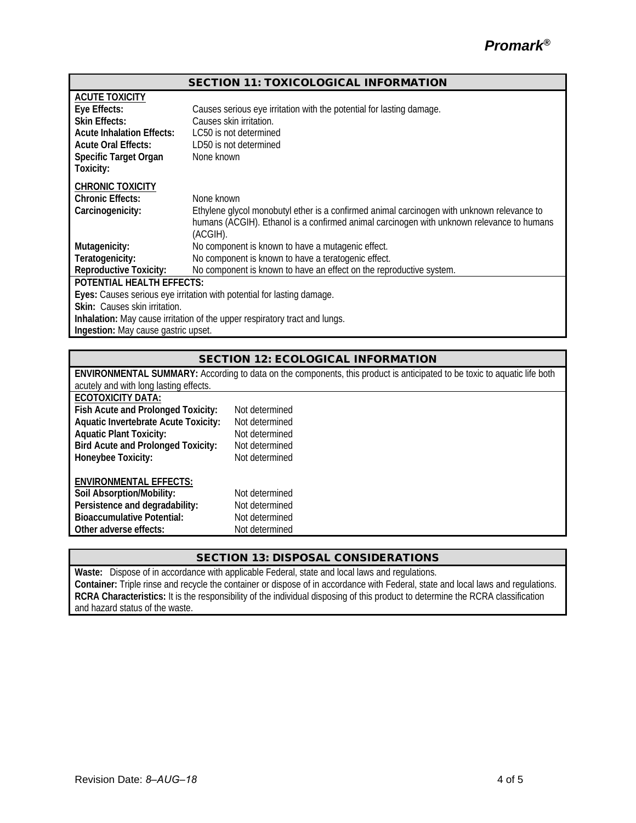| <b>SECTION 11: TOXICOLOGICAL INFORMATION</b>                               |                                                                                            |  |  |  |
|----------------------------------------------------------------------------|--------------------------------------------------------------------------------------------|--|--|--|
| <b>ACUTE TOXICITY</b>                                                      |                                                                                            |  |  |  |
| Eye Effects:                                                               | Causes serious eye irritation with the potential for lasting damage.                       |  |  |  |
| <b>Skin Effects:</b>                                                       | Causes skin irritation.                                                                    |  |  |  |
| <b>Acute Inhalation Effects:</b>                                           | LC50 is not determined                                                                     |  |  |  |
| <b>Acute Oral Effects:</b>                                                 | LD50 is not determined                                                                     |  |  |  |
| Specific Target Organ                                                      | None known                                                                                 |  |  |  |
| Toxicity:                                                                  |                                                                                            |  |  |  |
| <b>CHRONIC TOXICITY</b>                                                    |                                                                                            |  |  |  |
| <b>Chronic Effects:</b>                                                    | None known                                                                                 |  |  |  |
| Carcinogenicity:                                                           | Ethylene glycol monobutyl ether is a confirmed animal carcinogen with unknown relevance to |  |  |  |
|                                                                            | humans (ACGIH). Ethanol is a confirmed animal carcinogen with unknown relevance to humans  |  |  |  |
|                                                                            | (ACGIH).                                                                                   |  |  |  |
| Mutagenicity:                                                              | No component is known to have a mutagenic effect.                                          |  |  |  |
| Teratogenicity:                                                            | No component is known to have a teratogenic effect.                                        |  |  |  |
| <b>Reproductive Toxicity:</b>                                              | No component is known to have an effect on the reproductive system.                        |  |  |  |
| <b>POTENTIAL HEALTH EFFECTS:</b>                                           |                                                                                            |  |  |  |
| Eyes: Causes serious eye irritation with potential for lasting damage.     |                                                                                            |  |  |  |
| Skin: Causes skin irritation.                                              |                                                                                            |  |  |  |
| Inhalation: May cause irritation of the upper respiratory tract and lungs. |                                                                                            |  |  |  |
| Ingestion: May cause gastric upset.                                        |                                                                                            |  |  |  |

## SECTION 12: ECOLOGICAL INFORMATION

| ENVIRONMENTAL SUMMARY: According to data on the components, this product is anticipated to be toxic to aquatic life both |                |  |  |  |  |
|--------------------------------------------------------------------------------------------------------------------------|----------------|--|--|--|--|
| acutely and with long lasting effects.                                                                                   |                |  |  |  |  |
| <b>ECOTOXICITY DATA:</b>                                                                                                 |                |  |  |  |  |
| Fish Acute and Prolonged Toxicity:                                                                                       | Not determined |  |  |  |  |
| <b>Aquatic Invertebrate Acute Toxicity:</b>                                                                              | Not determined |  |  |  |  |
| <b>Aquatic Plant Toxicity:</b>                                                                                           | Not determined |  |  |  |  |
| <b>Bird Acute and Prolonged Toxicity:</b>                                                                                | Not determined |  |  |  |  |
| Honeybee Toxicity:                                                                                                       | Not determined |  |  |  |  |
| <b>ENVIRONMENTAL EFFECTS:</b>                                                                                            |                |  |  |  |  |
| Soil Absorption/Mobility:                                                                                                | Not determined |  |  |  |  |
| Persistence and degradability:                                                                                           | Not determined |  |  |  |  |
| <b>Bioaccumulative Potential:</b>                                                                                        | Not determined |  |  |  |  |
| Other adverse effects:                                                                                                   | Not determined |  |  |  |  |

## SECTION 13: DISPOSAL CONSIDERATIONS

**Waste:** Dispose of in accordance with applicable Federal, state and local laws and regulations. **Container:** Triple rinse and recycle the container or dispose of in accordance with Federal, state and local laws and regulations. **RCRA Characteristics:** It is the responsibility of the individual disposing of this product to determine the RCRA classification and hazard status of the waste.